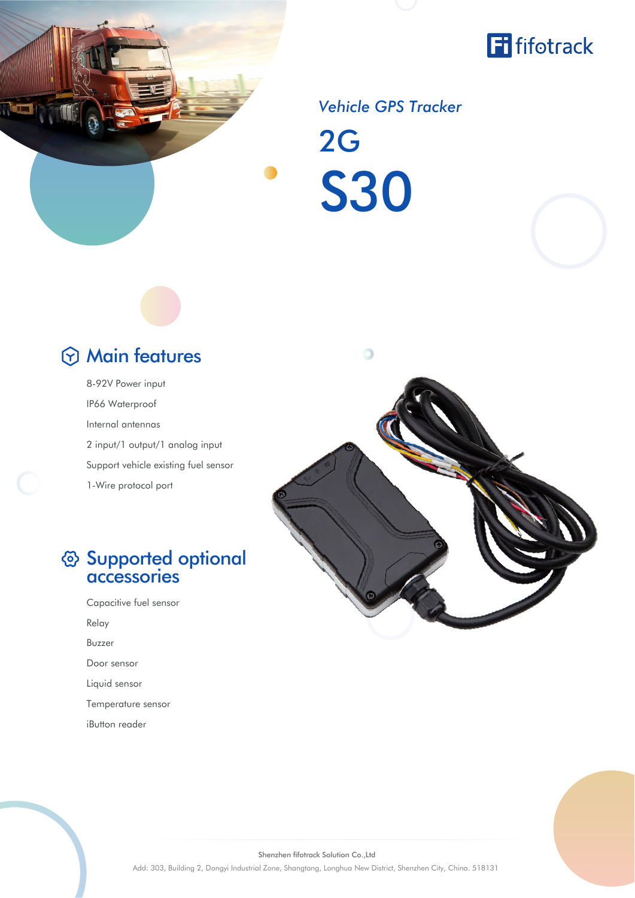



## 2G *Vehicle GPS Tracker* S30

## Main features

8-92V Power input IP66 Waterproof Internal antennas 2 input/1 output/1 analog input Support vehicle existing fuel sensor 1-Wire protocol port

## Supported optional accessories

Capacitive fuel sensor Relay Buzzer Door sensor Liquid sensor Temperature sensor iButton reader